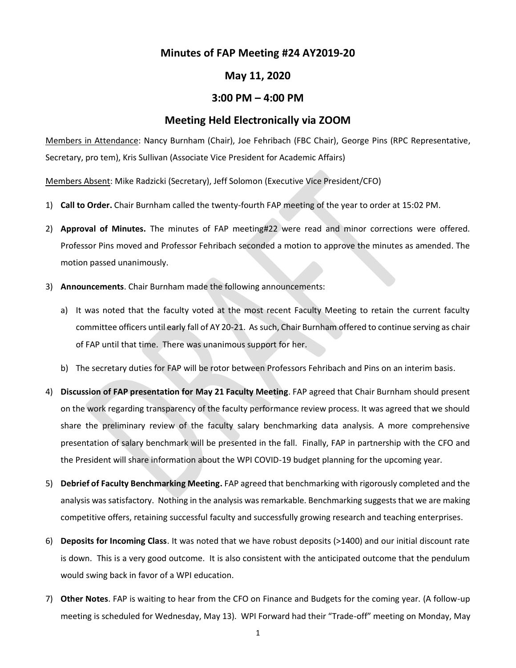## **Minutes of FAP Meeting #24 AY2019-20**

## **May 11, 2020**

## **3:00 PM – 4:00 PM**

## **Meeting Held Electronically via ZOOM**

Members in Attendance: Nancy Burnham (Chair), Joe Fehribach (FBC Chair), George Pins (RPC Representative, Secretary, pro tem), Kris Sullivan (Associate Vice President for Academic Affairs)

Members Absent: Mike Radzicki (Secretary), Jeff Solomon (Executive Vice President/CFO)

- 1) **Call to Order.** Chair Burnham called the twenty-fourth FAP meeting of the year to order at 15:02 PM.
- 2) **Approval of Minutes.** The minutes of FAP meeting#22 were read and minor corrections were offered. Professor Pins moved and Professor Fehribach seconded a motion to approve the minutes as amended. The motion passed unanimously.
- 3) **Announcements**. Chair Burnham made the following announcements:
	- a) It was noted that the faculty voted at the most recent Faculty Meeting to retain the current faculty committee officers until early fall of AY 20-21. As such, Chair Burnham offered to continue serving as chair of FAP until that time. There was unanimous support for her.
	- b) The secretary duties for FAP will be rotor between Professors Fehribach and Pins on an interim basis.
- 4) **Discussion of FAP presentation for May 21 Faculty Meeting**. FAP agreed that Chair Burnham should present on the work regarding transparency of the faculty performance review process. It was agreed that we should share the preliminary review of the faculty salary benchmarking data analysis. A more comprehensive presentation of salary benchmark will be presented in the fall. Finally, FAP in partnership with the CFO and the President will share information about the WPI COVID-19 budget planning for the upcoming year.
- 5) **Debrief of Faculty Benchmarking Meeting.** FAP agreed that benchmarking with rigorously completed and the analysis was satisfactory. Nothing in the analysis was remarkable. Benchmarking suggests that we are making competitive offers, retaining successful faculty and successfully growing research and teaching enterprises.
- 6) **Deposits for Incoming Class**. It was noted that we have robust deposits (>1400) and our initial discount rate is down. This is a very good outcome. It is also consistent with the anticipated outcome that the pendulum would swing back in favor of a WPI education.
- 7) **Other Notes**. FAP is waiting to hear from the CFO on Finance and Budgets for the coming year. (A follow-up meeting is scheduled for Wednesday, May 13). WPI Forward had their "Trade-off" meeting on Monday, May